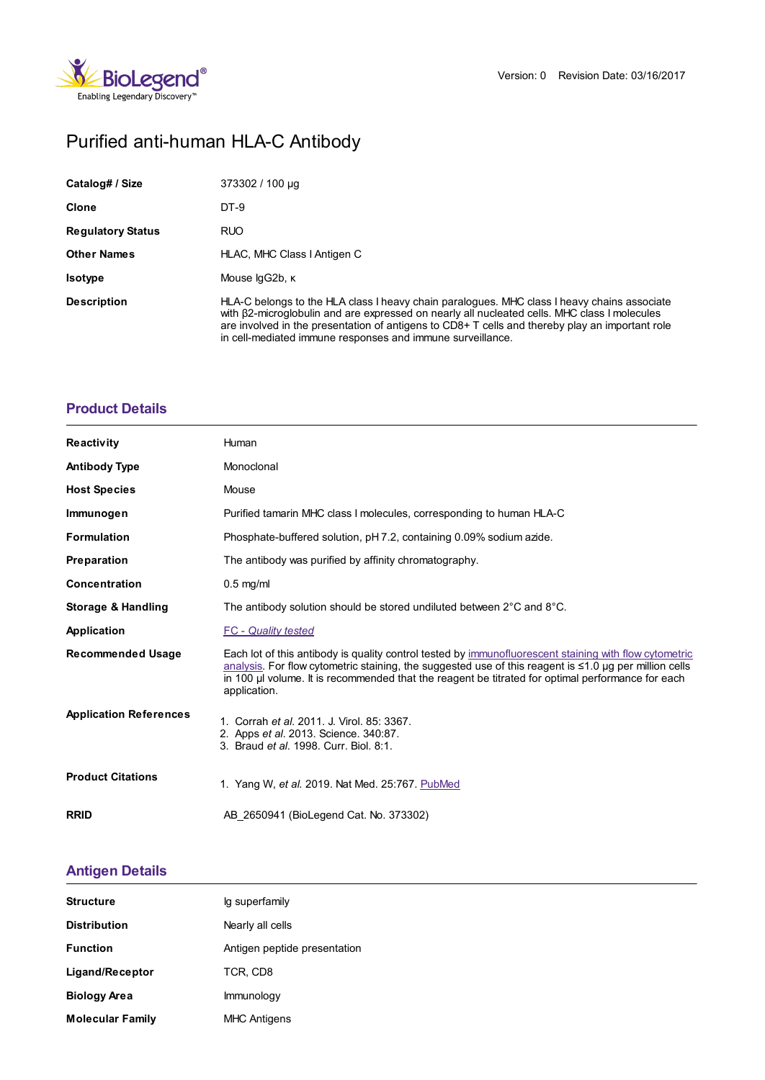

# Purified anti-human HLA-C Antibody

| Catalog# / Size          | 373302 / 100 µg                                                                                                                                                                                                                                                                                                                                               |
|--------------------------|---------------------------------------------------------------------------------------------------------------------------------------------------------------------------------------------------------------------------------------------------------------------------------------------------------------------------------------------------------------|
| <b>Clone</b>             | DT-9                                                                                                                                                                                                                                                                                                                                                          |
| <b>Regulatory Status</b> | <b>RUO</b>                                                                                                                                                                                                                                                                                                                                                    |
| <b>Other Names</b>       | HLAC, MHC Class I Antigen C                                                                                                                                                                                                                                                                                                                                   |
| <b>Isotype</b>           | Mouse lgG2b, K                                                                                                                                                                                                                                                                                                                                                |
| <b>Description</b>       | HLA-C belongs to the HLA class I heavy chain paralogues. MHC class I heavy chains associate<br>with B2-microglobulin and are expressed on nearly all nucleated cells. MHC class I molecules<br>are involved in the presentation of antigens to $CD8+T$ cells and thereby play an important role<br>in cell-mediated immune responses and immune surveillance. |

## **[Product](https://www.biolegend.com/fr-lu/products/purified-anti-human-hla-c-antibody-14212?pdf=true&displayInline=true&leftRightMargin=15&topBottomMargin=15&filename=Purified anti-human HLA-C Antibody.pdf#productDetails) Details**

| <b>Reactivity</b>             | Human                                                                                                                                                                                                                                                                                                                                |
|-------------------------------|--------------------------------------------------------------------------------------------------------------------------------------------------------------------------------------------------------------------------------------------------------------------------------------------------------------------------------------|
| <b>Antibody Type</b>          | Monoclonal                                                                                                                                                                                                                                                                                                                           |
| <b>Host Species</b>           | Mouse                                                                                                                                                                                                                                                                                                                                |
| Immunogen                     | Purified tamarin MHC class I molecules, corresponding to human HLA-C                                                                                                                                                                                                                                                                 |
| <b>Formulation</b>            | Phosphate-buffered solution, pH 7.2, containing 0.09% sodium azide.                                                                                                                                                                                                                                                                  |
| Preparation                   | The antibody was purified by affinity chromatography.                                                                                                                                                                                                                                                                                |
| <b>Concentration</b>          | $0.5$ mg/ml                                                                                                                                                                                                                                                                                                                          |
| Storage & Handling            | The antibody solution should be stored undiluted between $2^{\circ}$ C and $8^{\circ}$ C.                                                                                                                                                                                                                                            |
| <b>Application</b>            | <b>FC</b> - Quality tested                                                                                                                                                                                                                                                                                                           |
| <b>Recommended Usage</b>      | Each lot of this antibody is quality control tested by immunofluorescent staining with flow cytometric<br>analysis. For flow cytometric staining, the suggested use of this reagent is ≤1.0 µg per million cells<br>in 100 µ volume. It is recommended that the reagent be titrated for optimal performance for each<br>application. |
| <b>Application References</b> | 1. Corrah et al. 2011. J. Virol. 85: 3367.<br>2. Apps et al. 2013. Science. 340:87.<br>3. Braud et al. 1998. Curr. Biol. 8:1.                                                                                                                                                                                                        |
| <b>Product Citations</b>      | 1. Yang W, et al. 2019. Nat Med. 25:767. PubMed                                                                                                                                                                                                                                                                                      |
| <b>RRID</b>                   | AB 2650941 (BioLegend Cat. No. 373302)                                                                                                                                                                                                                                                                                               |

## **[Antigen](https://www.biolegend.com/fr-lu/products/purified-anti-human-hla-c-antibody-14212?pdf=true&displayInline=true&leftRightMargin=15&topBottomMargin=15&filename=Purified anti-human HLA-C Antibody.pdf#antigenDetails) Details**

| <b>Structure</b>        | Ig superfamily               |
|-------------------------|------------------------------|
| <b>Distribution</b>     | Nearly all cells             |
| <b>Function</b>         | Antigen peptide presentation |
| Ligand/Receptor         | TCR, CD8                     |
| <b>Biology Area</b>     | Immunology                   |
| <b>Molecular Family</b> | <b>MHC Antigens</b>          |